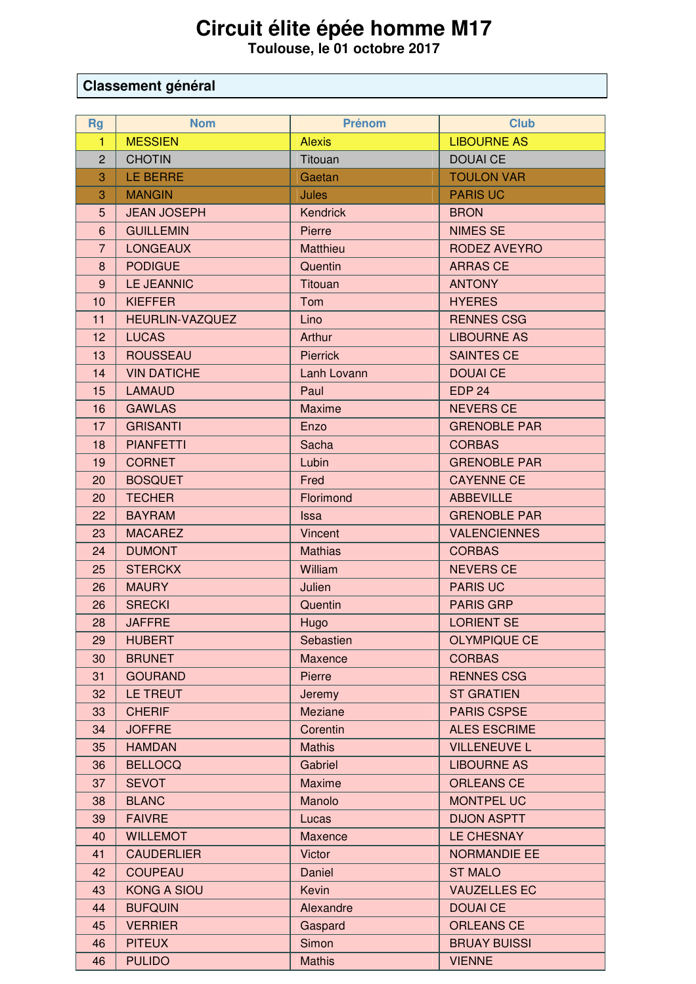## Circuit élite épée homme M17<br>Toulouse, le 01 octobre 2017

## Classement général

| <b>Rg</b>      | <b>Nom</b>             | <b>Prénom</b>   | <b>Club</b>         |
|----------------|------------------------|-----------------|---------------------|
| $\mathbf{1}$   | <b>MESSIEN</b>         | <b>Alexis</b>   | <b>LIBOURNE AS</b>  |
| $\overline{2}$ | <b>CHOTIN</b>          | Titouan         | <b>DOUAI CE</b>     |
| 3              | LE BERRE               | Gaetan          | <b>TOULON VAR</b>   |
| 3              | <b>MANGIN</b>          | <b>Jules</b>    | <b>PARIS UC</b>     |
| 5              | <b>JEAN JOSEPH</b>     | <b>Kendrick</b> | <b>BRON</b>         |
| $6\phantom{1}$ | <b>GUILLEMIN</b>       | Pierre          | <b>NIMES SE</b>     |
| $\overline{7}$ | <b>LONGEAUX</b>        | Matthieu        | <b>RODEZ AVEYRO</b> |
| 8              | <b>PODIGUE</b>         | Quentin         | <b>ARRAS CE</b>     |
| 9              | <b>LE JEANNIC</b>      | <b>Titouan</b>  | <b>ANTONY</b>       |
| 10             | <b>KIEFFER</b>         | Tom             | <b>HYERES</b>       |
| 11             | <b>HEURLIN-VAZQUEZ</b> | Lino            | <b>RENNES CSG</b>   |
| 12             | <b>LUCAS</b>           | Arthur          | <b>LIBOURNE AS</b>  |
| 13             | <b>ROUSSEAU</b>        | <b>Pierrick</b> | <b>SAINTES CE</b>   |
| 14             | <b>VIN DATICHE</b>     | Lanh Lovann     | <b>DOUAI CE</b>     |
| 15             | <b>LAMAUD</b>          | Paul            | <b>EDP 24</b>       |
| 16             | <b>GAWLAS</b>          | <b>Maxime</b>   | <b>NEVERS CE</b>    |
| 17             | <b>GRISANTI</b>        | Enzo            | <b>GRENOBLE PAR</b> |
| 18             | <b>PIANFETTI</b>       | Sacha           | <b>CORBAS</b>       |
| 19             | <b>CORNET</b>          | Lubin           | <b>GRENOBLE PAR</b> |
| 20             | <b>BOSQUET</b>         | Fred            | <b>CAYENNE CE</b>   |
| 20             | <b>TECHER</b>          | Florimond       | <b>ABBEVILLE</b>    |
| 22             | <b>BAYRAM</b>          | <b>Issa</b>     | <b>GRENOBLE PAR</b> |
| 23             | <b>MACAREZ</b>         | Vincent         | <b>VALENCIENNES</b> |
| 24             | <b>DUMONT</b>          | <b>Mathias</b>  | <b>CORBAS</b>       |
| 25             | <b>STERCKX</b>         | William         | <b>NEVERS CE</b>    |
| 26             | <b>MAURY</b>           | Julien          | <b>PARIS UC</b>     |
| 26             | <b>SRECKI</b>          | Quentin         | <b>PARIS GRP</b>    |
| 28             | <b>JAFFRE</b>          | Hugo            | <b>LORIENT SE</b>   |
| 29             | <b>HUBERT</b>          | Sebastien       | <b>OLYMPIQUE CE</b> |
| 30             | <b>BRUNET</b>          | Maxence         | <b>CORBAS</b>       |
| 31             | <b>GOURAND</b>         | Pierre          | <b>RENNES CSG</b>   |
| 32             | <b>LE TREUT</b>        | Jeremy          | <b>ST GRATIEN</b>   |
| 33             | <b>CHERIF</b>          | Meziane         | <b>PARIS CSPSE</b>  |
| 34             | <b>JOFFRE</b>          | Corentin        | <b>ALES ESCRIME</b> |
| 35             | <b>HAMDAN</b>          | <b>Mathis</b>   | <b>VILLENEUVE L</b> |
| 36             | <b>BELLOCQ</b>         | Gabriel         | <b>LIBOURNE AS</b>  |
| 37             | <b>SEVOT</b>           | <b>Maxime</b>   | <b>ORLEANS CE</b>   |
| 38             | <b>BLANC</b>           | Manolo          | <b>MONTPEL UC</b>   |
| 39             | <b>FAIVRE</b>          | Lucas           | <b>DIJON ASPTT</b>  |
| 40             | <b>WILLEMOT</b>        | Maxence         | LE CHESNAY          |
| 41             | <b>CAUDERLIER</b>      | <b>Victor</b>   | <b>NORMANDIE EE</b> |
| 42             | <b>COUPEAU</b>         | Daniel          | <b>ST MALO</b>      |
| 43             | <b>KONG A SIOU</b>     | Kevin           | <b>VAUZELLES EC</b> |
| 44             | <b>BUFQUIN</b>         | Alexandre       | <b>DOUAI CE</b>     |
| 45             | <b>VERRIER</b>         | Gaspard         | <b>ORLEANS CE</b>   |
| 46             | <b>PITEUX</b>          | Simon           | <b>BRUAY BUISSI</b> |
| 46             | <b>PULIDO</b>          | <b>Mathis</b>   | <b>VIENNE</b>       |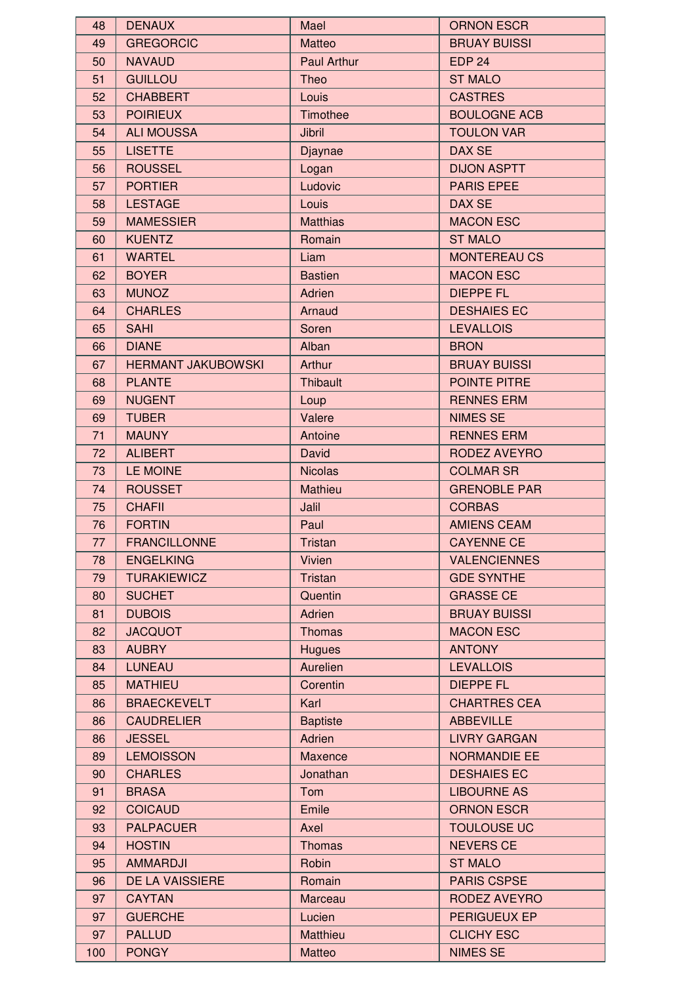| 48  | <b>DENAUX</b>             | Mael               | <b>ORNON ESCR</b>   |
|-----|---------------------------|--------------------|---------------------|
| 49  | <b>GREGORCIC</b>          | Matteo             | <b>BRUAY BUISSI</b> |
| 50  | <b>NAVAUD</b>             | <b>Paul Arthur</b> | <b>EDP 24</b>       |
| 51  | <b>GUILLOU</b>            | Theo               | <b>ST MALO</b>      |
| 52  | <b>CHABBERT</b>           | Louis              | <b>CASTRES</b>      |
| 53  | <b>POIRIEUX</b>           | Timothee           | <b>BOULOGNE ACB</b> |
| 54  | <b>ALI MOUSSA</b>         | Jibril             | <b>TOULON VAR</b>   |
| 55  | <b>LISETTE</b>            | Djaynae            | DAX SE              |
| 56  | <b>ROUSSEL</b>            | Logan              | <b>DIJON ASPTT</b>  |
| 57  | <b>PORTIER</b>            | Ludovic            | <b>PARIS EPEE</b>   |
| 58  | <b>LESTAGE</b>            | Louis              | DAX SE              |
| 59  | <b>MAMESSIER</b>          | <b>Matthias</b>    | <b>MACON ESC</b>    |
| 60  | <b>KUENTZ</b>             | Romain             | <b>ST MALO</b>      |
| 61  | <b>WARTEL</b>             | Liam               | <b>MONTEREAU CS</b> |
|     | <b>BOYER</b>              | <b>Bastien</b>     | <b>MACON ESC</b>    |
| 62  |                           |                    |                     |
| 63  | <b>MUNOZ</b>              | Adrien             | <b>DIEPPE FL</b>    |
| 64  | <b>CHARLES</b>            | Arnaud             | <b>DESHAIES EC</b>  |
| 65  | <b>SAHI</b>               | Soren              | <b>LEVALLOIS</b>    |
| 66  | <b>DIANE</b>              | Alban              | <b>BRON</b>         |
| 67  | <b>HERMANT JAKUBOWSKI</b> | Arthur             | <b>BRUAY BUISSI</b> |
| 68  | <b>PLANTE</b>             | Thibault           | POINTE PITRE        |
| 69  | <b>NUGENT</b>             | Loup               | <b>RENNES ERM</b>   |
| 69  | <b>TUBER</b>              | Valere             | <b>NIMES SE</b>     |
| 71  | <b>MAUNY</b>              | Antoine            | <b>RENNES ERM</b>   |
| 72  | <b>ALIBERT</b>            | David              | <b>RODEZ AVEYRO</b> |
| 73  | LE MOINE                  | <b>Nicolas</b>     | <b>COLMAR SR</b>    |
| 74  | <b>ROUSSET</b>            | Mathieu            | <b>GRENOBLE PAR</b> |
| 75  | <b>CHAFII</b>             | Jalil              | <b>CORBAS</b>       |
| 76  | <b>FORTIN</b>             | Paul               | <b>AMIENS CEAM</b>  |
| 77  | <b>FRANCILLONNE</b>       | <b>Tristan</b>     | <b>CAYENNE CE</b>   |
| 78  | <b>ENGELKING</b>          | Vivien             | <b>VALENCIENNES</b> |
| 79  | <b>TURAKIEWICZ</b>        | <b>Tristan</b>     | <b>GDE SYNTHE</b>   |
| 80  | <b>SUCHET</b>             | Quentin            | <b>GRASSE CE</b>    |
| 81  | <b>DUBOIS</b>             | Adrien             | <b>BRUAY BUISSI</b> |
| 82  | <b>JACQUOT</b>            | <b>Thomas</b>      | <b>MACON ESC</b>    |
| 83  | <b>AUBRY</b>              | <b>Hugues</b>      | <b>ANTONY</b>       |
| 84  | <b>LUNEAU</b>             | Aurelien           | <b>LEVALLOIS</b>    |
| 85  | <b>MATHIEU</b>            | Corentin           | <b>DIEPPE FL</b>    |
| 86  | <b>BRAECKEVELT</b>        | Karl               | <b>CHARTRES CEA</b> |
| 86  | <b>CAUDRELIER</b>         | <b>Baptiste</b>    | <b>ABBEVILLE</b>    |
| 86  | <b>JESSEL</b>             | Adrien             | <b>LIVRY GARGAN</b> |
| 89  | <b>LEMOISSON</b>          | Maxence            | <b>NORMANDIE EE</b> |
| 90  | <b>CHARLES</b>            | Jonathan           | <b>DESHAIES EC</b>  |
| 91  | <b>BRASA</b>              | Tom                | <b>LIBOURNE AS</b>  |
| 92  | <b>COICAUD</b>            | Emile              | <b>ORNON ESCR</b>   |
| 93  | <b>PALPACUER</b>          | Axel               | <b>TOULOUSE UC</b>  |
| 94  | <b>HOSTIN</b>             | <b>Thomas</b>      | <b>NEVERS CE</b>    |
| 95  | <b>AMMARDJI</b>           | Robin              | <b>ST MALO</b>      |
| 96  | DE LA VAISSIERE           | Romain             | <b>PARIS CSPSE</b>  |
| 97  | <b>CAYTAN</b>             | Marceau            | RODEZ AVEYRO        |
| 97  | <b>GUERCHE</b>            | Lucien             | PERIGUEUX EP        |
|     | <b>PALLUD</b>             |                    | <b>CLICHY ESC</b>   |
| 97  |                           | Matthieu           |                     |
| 100 | <b>PONGY</b>              | Matteo             | <b>NIMES SE</b>     |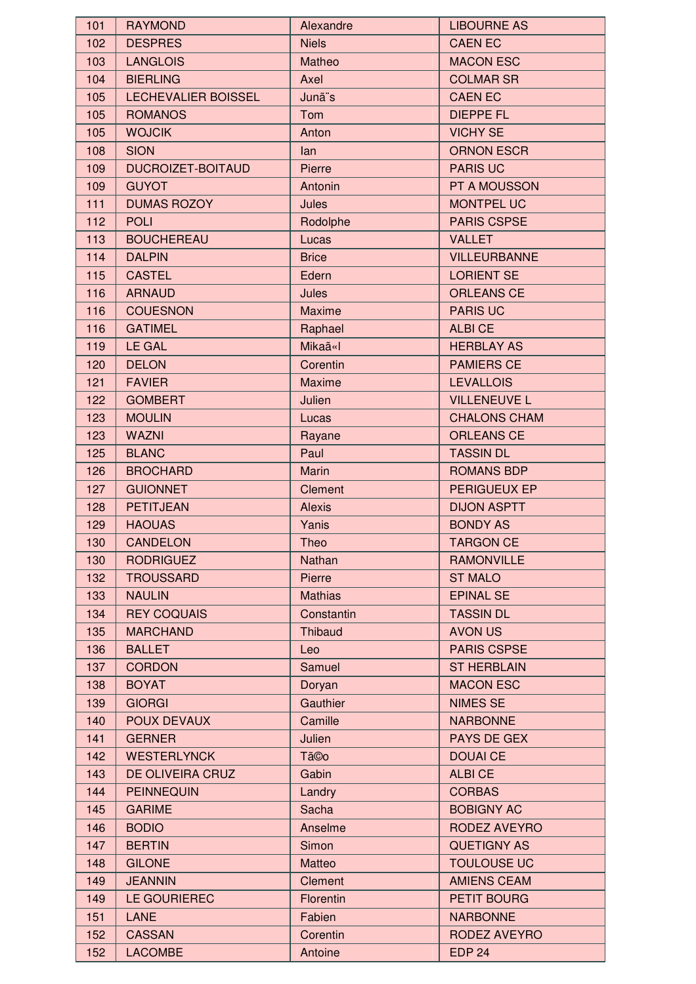| 101        | <b>RAYMOND</b>                      | Alexandre           | <b>LIBOURNE AS</b>                    |
|------------|-------------------------------------|---------------------|---------------------------------------|
| 102        | <b>DESPRES</b>                      | <b>Niels</b>        | <b>CAEN EC</b>                        |
| 103        | <b>LANGLOIS</b>                     | Matheo              | <b>MACON ESC</b>                      |
| 104        | <b>BIERLING</b>                     | Axel                | <b>COLMAR SR</b>                      |
| 105        | LECHEVALIER BOISSEL                 | Junã <sup>"</sup> s | <b>CAEN EC</b>                        |
| 105        | <b>ROMANOS</b>                      | Tom                 | <b>DIEPPE FL</b>                      |
| 105        | <b>WOJCIK</b>                       | Anton               | <b>VICHY SE</b>                       |
| 108        | <b>SION</b>                         | lan                 | <b>ORNON ESCR</b>                     |
| 109        | <b>DUCROIZET-BOITAUD</b>            | Pierre              | <b>PARIS UC</b>                       |
| 109        | <b>GUYOT</b>                        | Antonin             | PT A MOUSSON                          |
| 111        | <b>DUMAS ROZOY</b>                  | Jules               | <b>MONTPEL UC</b>                     |
| 112        | <b>POLI</b>                         | Rodolphe            | <b>PARIS CSPSE</b>                    |
| 113        | <b>BOUCHEREAU</b>                   | Lucas               | <b>VALLET</b>                         |
| 114        | <b>DALPIN</b>                       | <b>Brice</b>        | <b>VILLEURBANNE</b>                   |
| 115        | <b>CASTEL</b>                       | Edern               | <b>LORIENT SE</b>                     |
| 116        | <b>ARNAUD</b>                       | Jules               | <b>ORLEANS CE</b>                     |
| 116        | <b>COUESNON</b>                     | <b>Maxime</b>       | <b>PARIS UC</b>                       |
| 116        | <b>GATIMEL</b>                      | Raphael             | <b>ALBICE</b>                         |
| 119        | LE GAL                              | Mikaã«I             | <b>HERBLAY AS</b>                     |
| 120        | <b>DELON</b>                        | Corentin            | <b>PAMIERS CE</b>                     |
| 121        | <b>FAVIER</b>                       | <b>Maxime</b>       | <b>LEVALLOIS</b>                      |
| 122        | <b>GOMBERT</b>                      | Julien              | <b>VILLENEUVE L</b>                   |
| 123        | <b>MOULIN</b>                       | Lucas               | <b>CHALONS CHAM</b>                   |
| 123        | <b>WAZNI</b>                        | Rayane              | <b>ORLEANS CE</b>                     |
| 125        | <b>BLANC</b>                        | Paul                | <b>TASSIN DL</b>                      |
| 126        | <b>BROCHARD</b>                     | Marin               | <b>ROMANS BDP</b>                     |
| 127        | <b>GUIONNET</b>                     | Clement             | PERIGUEUX EP                          |
| 128        | <b>PETITJEAN</b>                    | <b>Alexis</b>       | <b>DIJON ASPTT</b>                    |
| 129        | <b>HAOUAS</b>                       | Yanis               | <b>BONDY AS</b>                       |
| 130        | <b>CANDELON</b>                     | Theo                | <b>TARGON CE</b>                      |
| 130        | <b>RODRIGUEZ</b>                    | Nathan              | <b>RAMONVILLE</b>                     |
| 132        | <b>TROUSSARD</b>                    | Pierre              | <b>ST MALO</b>                        |
| 133        | <b>NAULIN</b>                       | <b>Mathias</b>      | <b>EPINAL SE</b>                      |
| 134        | <b>REY COQUAIS</b>                  | Constantin          | <b>TASSIN DL</b>                      |
| 135        | <b>MARCHAND</b>                     | Thibaud             | <b>AVON US</b>                        |
| 136        | <b>BALLET</b>                       | Leo                 | <b>PARIS CSPSE</b>                    |
| 137        | <b>CORDON</b>                       | Samuel              | <b>ST HERBLAIN</b>                    |
| 138        | <b>BOYAT</b>                        |                     | <b>MACON ESC</b>                      |
| 139        | <b>GIORGI</b>                       | Doryan<br>Gauthier  | <b>NIMES SE</b>                       |
| 140        | <b>POUX DEVAUX</b>                  | Camille             | <b>NARBONNE</b>                       |
|            |                                     |                     |                                       |
| 141<br>142 | <b>GERNER</b><br><b>WESTERLYNCK</b> | Julien              | <b>PAYS DE GEX</b><br><b>DOUAI CE</b> |
|            |                                     | Tã©o                |                                       |
| 143        | DE OLIVEIRA CRUZ                    | Gabin               | <b>ALBICE</b>                         |
| 144        | <b>PEINNEQUIN</b>                   | Landry              | <b>CORBAS</b>                         |
| 145        | <b>GARIME</b>                       | Sacha               | <b>BOBIGNY AC</b>                     |
| 146        | <b>BODIO</b>                        | Anselme             | RODEZ AVEYRO                          |
| 147        | <b>BERTIN</b>                       | Simon               | <b>QUETIGNY AS</b>                    |
| 148        | <b>GILONE</b>                       | Matteo              | <b>TOULOUSE UC</b>                    |
| 149        | <b>JEANNIN</b>                      | <b>Clement</b>      | <b>AMIENS CEAM</b>                    |
| 149        | LE GOURIEREC                        | Florentin           | PETIT BOURG                           |
| 151        | <b>LANE</b>                         | Fabien              | <b>NARBONNE</b>                       |
| 152        | <b>CASSAN</b>                       | Corentin            | RODEZ AVEYRO                          |
| 152        | <b>LACOMBE</b>                      | Antoine             | <b>EDP 24</b>                         |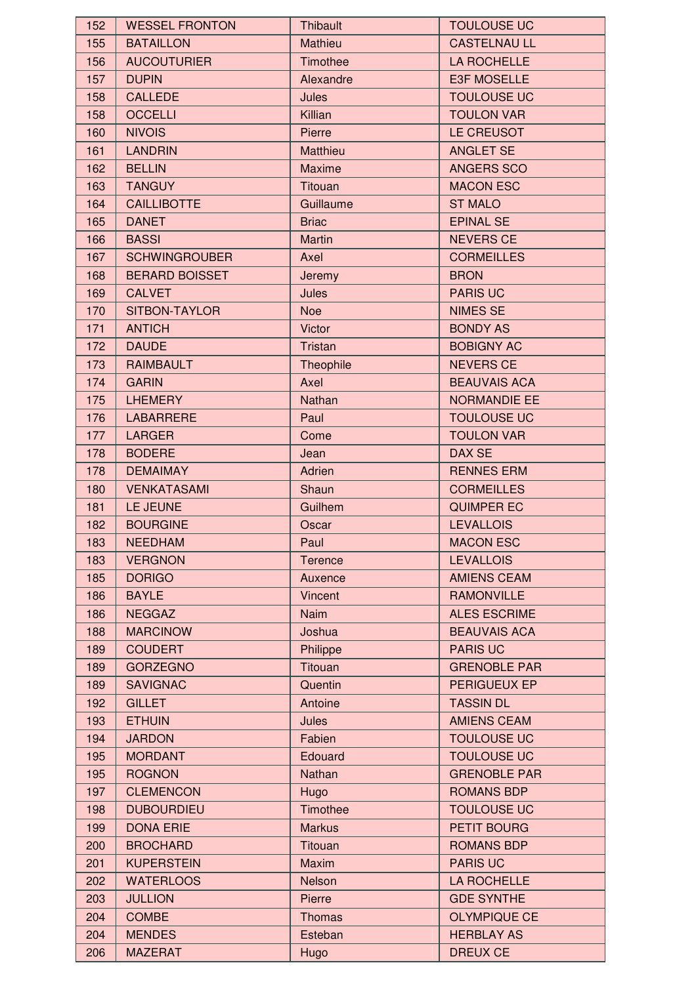| 152 | <b>WESSEL FRONTON</b> | <b>Thibault</b> | <b>TOULOUSE UC</b>  |
|-----|-----------------------|-----------------|---------------------|
| 155 | <b>BATAILLON</b>      | <b>Mathieu</b>  | <b>CASTELNAU LL</b> |
| 156 | <b>AUCOUTURIER</b>    | Timothee        | LA ROCHELLE         |
| 157 | <b>DUPIN</b>          | Alexandre       | E3F MOSELLE         |
| 158 | <b>CALLEDE</b>        | Jules           | <b>TOULOUSE UC</b>  |
| 158 | <b>OCCELLI</b>        | Killian         | <b>TOULON VAR</b>   |
| 160 | <b>NIVOIS</b>         | Pierre          | LE CREUSOT          |
| 161 | <b>LANDRIN</b>        | Matthieu        | <b>ANGLET SE</b>    |
| 162 | <b>BELLIN</b>         | <b>Maxime</b>   | <b>ANGERS SCO</b>   |
| 163 | <b>TANGUY</b>         | Titouan         | <b>MACON ESC</b>    |
| 164 | <b>CAILLIBOTTE</b>    | Guillaume       | <b>ST MALO</b>      |
| 165 | <b>DANET</b>          | <b>Briac</b>    | <b>EPINAL SE</b>    |
| 166 | <b>BASSI</b>          | <b>Martin</b>   | <b>NEVERS CE</b>    |
| 167 | <b>SCHWINGROUBER</b>  | Axel            | <b>CORMEILLES</b>   |
| 168 | <b>BERARD BOISSET</b> | Jeremy          | <b>BRON</b>         |
| 169 | <b>CALVET</b>         | Jules           | <b>PARIS UC</b>     |
| 170 | SITBON-TAYLOR         | <b>Noe</b>      | <b>NIMES SE</b>     |
| 171 | <b>ANTICH</b>         | Victor          | <b>BONDY AS</b>     |
| 172 | <b>DAUDE</b>          | Tristan         | <b>BOBIGNY AC</b>   |
|     | <b>RAIMBAULT</b>      |                 | <b>NEVERS CE</b>    |
| 173 |                       | Theophile       |                     |
| 174 | <b>GARIN</b>          | Axel            | <b>BEAUVAIS ACA</b> |
| 175 | <b>LHEMERY</b>        | Nathan          | <b>NORMANDIE EE</b> |
| 176 | <b>LABARRERE</b>      | Paul            | <b>TOULOUSE UC</b>  |
| 177 | <b>LARGER</b>         | Come            | <b>TOULON VAR</b>   |
| 178 | <b>BODERE</b>         | Jean            | DAX SE              |
| 178 | <b>DEMAIMAY</b>       | Adrien          | <b>RENNES ERM</b>   |
| 180 | <b>VENKATASAMI</b>    | Shaun           | <b>CORMEILLES</b>   |
| 181 | LE JEUNE              | Guilhem         | <b>QUIMPER EC</b>   |
| 182 | <b>BOURGINE</b>       | Oscar           | <b>LEVALLOIS</b>    |
| 183 | <b>NEEDHAM</b>        | Paul            | <b>MACON ESC</b>    |
| 183 | <b>VERGNON</b>        | <b>Terence</b>  | <b>LEVALLOIS</b>    |
| 185 | <b>DORIGO</b>         | Auxence         | <b>AMIENS CEAM</b>  |
| 186 | <b>BAYLE</b>          | Vincent         | <b>RAMONVILLE</b>   |
| 186 | <b>NEGGAZ</b>         | <b>Naim</b>     | <b>ALES ESCRIME</b> |
| 188 | <b>MARCINOW</b>       | Joshua          | <b>BEAUVAIS ACA</b> |
| 189 | <b>COUDERT</b>        | Philippe        | <b>PARIS UC</b>     |
| 189 | <b>GORZEGNO</b>       | Titouan         | <b>GRENOBLE PAR</b> |
| 189 | <b>SAVIGNAC</b>       | Quentin         | PERIGUEUX EP        |
| 192 | <b>GILLET</b>         | Antoine         | <b>TASSIN DL</b>    |
| 193 | <b>ETHUIN</b>         | <b>Jules</b>    | <b>AMIENS CEAM</b>  |
| 194 | <b>JARDON</b>         | Fabien          | <b>TOULOUSE UC</b>  |
| 195 | <b>MORDANT</b>        | Edouard         | <b>TOULOUSE UC</b>  |
| 195 | <b>ROGNON</b>         | Nathan          | <b>GRENOBLE PAR</b> |
| 197 | <b>CLEMENCON</b>      | <b>Hugo</b>     | <b>ROMANS BDP</b>   |
| 198 | <b>DUBOURDIEU</b>     | Timothee        | <b>TOULOUSE UC</b>  |
| 199 | <b>DONA ERIE</b>      | <b>Markus</b>   | PETIT BOURG         |
| 200 | <b>BROCHARD</b>       | Titouan         | <b>ROMANS BDP</b>   |
| 201 | <b>KUPERSTEIN</b>     | <b>Maxim</b>    | <b>PARIS UC</b>     |
| 202 | <b>WATERLOOS</b>      | Nelson          | LA ROCHELLE         |
| 203 | <b>JULLION</b>        | Pierre          | <b>GDE SYNTHE</b>   |
| 204 | <b>COMBE</b>          | <b>Thomas</b>   | <b>OLYMPIQUE CE</b> |
| 204 | <b>MENDES</b>         | Esteban         | <b>HERBLAY AS</b>   |
| 206 | <b>MAZERAT</b>        | Hugo            | <b>DREUX CE</b>     |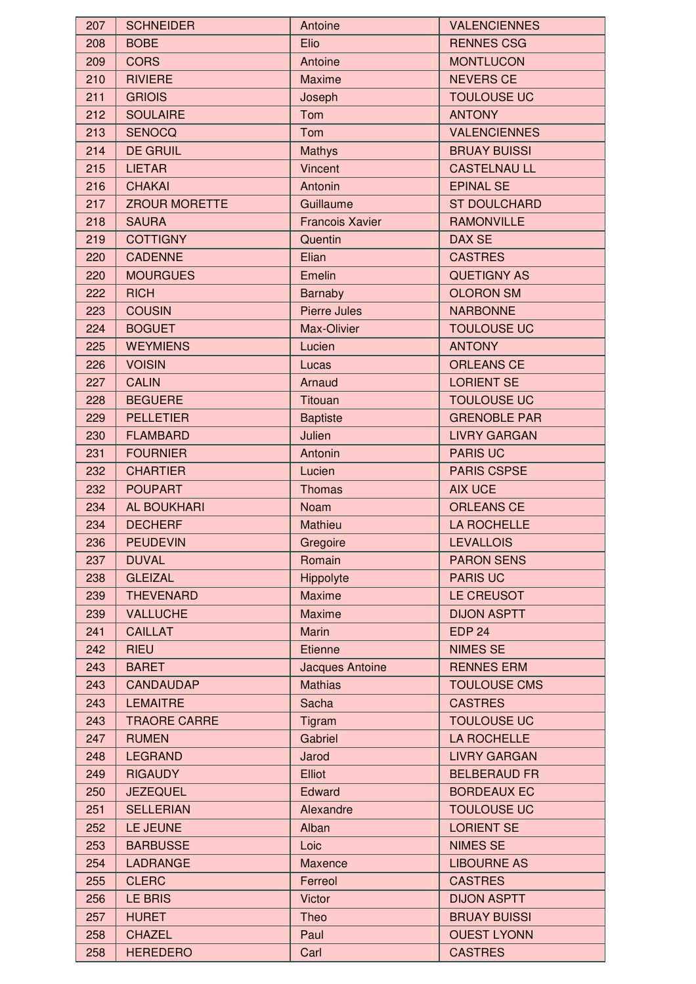| 207        | <b>SCHNEIDER</b>     | Antoine                | <b>VALENCIENNES</b> |
|------------|----------------------|------------------------|---------------------|
| 208        | <b>BOBE</b>          | Elio                   | <b>RENNES CSG</b>   |
| 209        | <b>CORS</b>          | Antoine                | <b>MONTLUCON</b>    |
| 210        | <b>RIVIERE</b>       | <b>Maxime</b>          | <b>NEVERS CE</b>    |
| 211        | <b>GRIOIS</b>        | Joseph                 | <b>TOULOUSE UC</b>  |
| 212        | <b>SOULAIRE</b>      | Tom                    | <b>ANTONY</b>       |
| 213        | <b>SENOCQ</b>        | Tom                    | <b>VALENCIENNES</b> |
| 214        | <b>DE GRUIL</b>      | <b>Mathys</b>          | <b>BRUAY BUISSI</b> |
| 215        | <b>LIETAR</b>        | <b>Vincent</b>         | <b>CASTELNAU LL</b> |
| 216        | <b>CHAKAI</b>        | Antonin                | <b>EPINAL SE</b>    |
| 217        | <b>ZROUR MORETTE</b> | Guillaume              | <b>ST DOULCHARD</b> |
| 218        | <b>SAURA</b>         | <b>Francois Xavier</b> | <b>RAMONVILLE</b>   |
| 219        | <b>COTTIGNY</b>      | Quentin                | DAX SE              |
| 220        | <b>CADENNE</b>       | Elian                  | <b>CASTRES</b>      |
| 220        | <b>MOURGUES</b>      | Emelin                 | <b>QUETIGNY AS</b>  |
| 222        | <b>RICH</b>          | <b>Barnaby</b>         | <b>OLORON SM</b>    |
| 223        | <b>COUSIN</b>        | Pierre Jules           | <b>NARBONNE</b>     |
| 224        | <b>BOGUET</b>        | Max-Olivier            | <b>TOULOUSE UC</b>  |
| 225        | <b>WEYMIENS</b>      | Lucien                 | <b>ANTONY</b>       |
| 226        | <b>VOISIN</b>        | Lucas                  | <b>ORLEANS CE</b>   |
| 227        | <b>CALIN</b>         | Arnaud                 | <b>LORIENT SE</b>   |
| 228        | <b>BEGUERE</b>       | Titouan                | <b>TOULOUSE UC</b>  |
| 229        | <b>PELLETIER</b>     | <b>Baptiste</b>        | <b>GRENOBLE PAR</b> |
| 230        | <b>FLAMBARD</b>      | Julien                 | <b>LIVRY GARGAN</b> |
| 231        | <b>FOURNIER</b>      | Antonin                | <b>PARIS UC</b>     |
| 232        | <b>CHARTIER</b>      | Lucien                 | <b>PARIS CSPSE</b>  |
| 232        | <b>POUPART</b>       | <b>Thomas</b>          | <b>AIX UCE</b>      |
| 234        | <b>AL BOUKHARI</b>   | <b>Noam</b>            | <b>ORLEANS CE</b>   |
| 234        | <b>DECHERF</b>       | Mathieu                | <b>LA ROCHELLE</b>  |
| 236        | <b>PEUDEVIN</b>      | Gregoire               | <b>LEVALLOIS</b>    |
| 237        | <b>DUVAL</b>         | Romain                 | <b>PARON SENS</b>   |
| 238        | <b>GLEIZAL</b>       | Hippolyte              | <b>PARIS UC</b>     |
| 239        | <b>THEVENARD</b>     | <b>Maxime</b>          | LE CREUSOT          |
| 239        | <b>VALLUCHE</b>      | <b>Maxime</b>          | <b>DIJON ASPTT</b>  |
| 241        | <b>CAILLAT</b>       | <b>Marin</b>           | <b>EDP 24</b>       |
| 242        | <b>RIEU</b>          | <b>Etienne</b>         | <b>NIMES SE</b>     |
| 243        | <b>BARET</b>         | Jacques Antoine        | <b>RENNES ERM</b>   |
| 243        | <b>CANDAUDAP</b>     | <b>Mathias</b>         | <b>TOULOUSE CMS</b> |
| 243        | <b>LEMAITRE</b>      | <b>Sacha</b>           | <b>CASTRES</b>      |
| 243        | <b>TRAORE CARRE</b>  | Tigram                 | <b>TOULOUSE UC</b>  |
| 247        | <b>RUMEN</b>         | Gabriel                | LA ROCHELLE         |
| 248        | <b>LEGRAND</b>       | Jarod                  | <b>LIVRY GARGAN</b> |
| 249        | <b>RIGAUDY</b>       | Elliot                 | <b>BELBERAUD FR</b> |
| 250        | <b>JEZEQUEL</b>      | Edward                 | <b>BORDEAUX EC</b>  |
| 251        | <b>SELLERIAN</b>     | Alexandre              | <b>TOULOUSE UC</b>  |
| 252        | LE JEUNE             |                        | <b>LORIENT SE</b>   |
|            | <b>BARBUSSE</b>      | Alban<br>Loic          | <b>NIMES SE</b>     |
| 253<br>254 | LADRANGE             | Maxence                | <b>LIBOURNE AS</b>  |
|            |                      |                        | <b>CASTRES</b>      |
| 255        | <b>CLERC</b>         | Ferreol                |                     |
| 256        | <b>LE BRIS</b>       | <b>Victor</b>          | <b>DIJON ASPTT</b>  |
| 257        | <b>HURET</b>         | Theo                   | <b>BRUAY BUISSI</b> |
| 258        | <b>CHAZEL</b>        | Paul                   | <b>OUEST LYONN</b>  |
| 258        | <b>HEREDERO</b>      | Carl                   | <b>CASTRES</b>      |